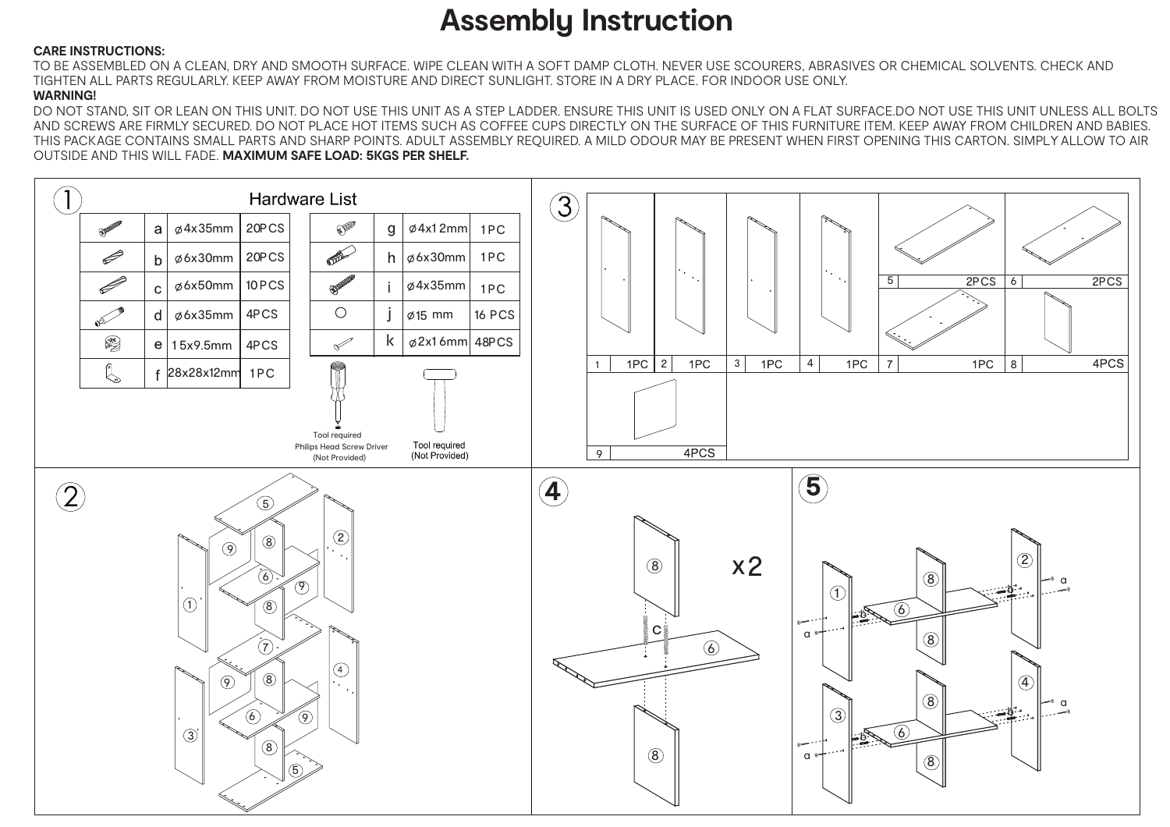## **Assembly Instruction**

## **CARE INSTRUCTIONS:**

TO BE ASSEMBLED ON A CLEAN, DRY AND SMOOTH SURFACE. WIPE CLEAN WITH A SOFT DAMP CLOTH. NEVER USE SCOURERS, ABRASIVES OR CHEMICAL SOLVENTS. CHECK AND TIGHTEN ALL PARTS REGULARLY. KEEP AWAY FROM MOISTURE AND DIRECT SUNLIGHT. STORE IN A DRY PLACE. FOR INDOOR USE ONLY.

## **WARNING!**

DO NOT STAND, SIT OR LEAN ON THIS UNIT. DO NOT USE THIS UNIT AS A STEP LADDER. ENSURE THIS UNIT IS USED ONLY ON A FLAT SURFACE.DO NOT USE THIS UNIT UNLESS ALL BOLTS AND SCREWS ARE FIRMLY SECURED. DO NOT PLACE HOT ITEMS SUCH AS COFFEE CUPS DIRECTLY ON THE SURFACE OF THIS FURNITURE ITEM. KEEP AWAY FROM CHILDREN AND BABIES. THIS PACKAGE CONTAINS SMALL PARTS AND SHARP POINTS. ADULT ASSEMBLY REQUIRED. A MILD ODOUR MAY BE PRESENT WHEN FIRST OPENING THIS CARTON. SIMPLY ALLOW TO AIR OUTSIDE AND THIS WILL FADE. **MAXIMUM SAFE LOAD: 5KGS PER SHELF.**